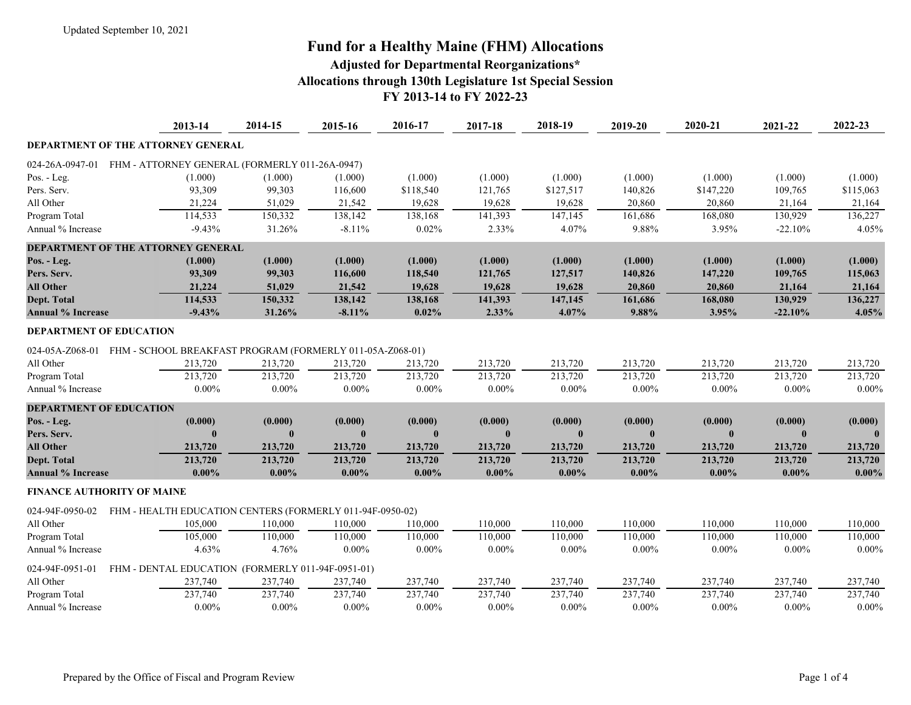# **Fund for a Healthy Maine (FHM) Allocations**

### **Adjusted for Departmental Reorganizations\* Allocations through 130th Legislature 1st Special Session FY 2013-14 to FY 2022-23**

|                                           | 2013-14                                                   | 2014-15      | 2015-16      | 2016-17     | 2017-18  | 2018-19      | 2019-20  | 2020-21      | 2021-22      | 2022-23   |
|-------------------------------------------|-----------------------------------------------------------|--------------|--------------|-------------|----------|--------------|----------|--------------|--------------|-----------|
| DEPARTMENT OF THE ATTORNEY GENERAL        |                                                           |              |              |             |          |              |          |              |              |           |
| 024-26A-0947-01                           | FHM - ATTORNEY GENERAL (FORMERLY 011-26A-0947)            |              |              |             |          |              |          |              |              |           |
| Pos. - Leg.                               | (1.000)                                                   | (1.000)      | (1.000)      | (1.000)     | (1.000)  | (1.000)      | (1.000)  | (1.000)      | (1.000)      | (1.000)   |
| Pers. Serv.                               | 93,309                                                    | 99,303       | 116,600      | \$118,540   | 121,765  | \$127,517    | 140,826  | \$147,220    | 109,765      | \$115,063 |
| All Other                                 | 21,224                                                    | 51,029       | 21,542       | 19,628      | 19,628   | 19,628       | 20,860   | 20,860       | 21,164       | 21,164    |
| Program Total                             | 114,533                                                   | 150,332      | 138,142      | 138,168     | 141,393  | 147,145      | 161,686  | 168,080      | 130,929      | 136,227   |
| Annual % Increase                         | $-9.43%$                                                  | 31.26%       | $-8.11%$     | 0.02%       | 2.33%    | 4.07%        | 9.88%    | 3.95%        | $-22.10%$    | 4.05%     |
| <b>DEPARTMENT OF THE ATTORNEY GENERAL</b> |                                                           |              |              |             |          |              |          |              |              |           |
| Pos. - Leg.                               | (1.000)                                                   | (1.000)      | (1.000)      | (1.000)     | (1.000)  | (1.000)      | (1.000)  | (1.000)      | (1.000)      | (1.000)   |
| Pers. Serv.                               | 93,309                                                    | 99,303       | 116,600      | 118,540     | 121,765  | 127,517      | 140,826  | 147,220      | 109,765      | 115,063   |
| <b>All Other</b>                          | 21,224                                                    | 51,029       | 21,542       | 19,628      | 19,628   | 19,628       | 20,860   | 20,860       | 21,164       | 21,164    |
| Dept. Total                               | 114,533                                                   | 150,332      | 138,142      | 138,168     | 141,393  | 147,145      | 161,686  | 168,080      | 130,929      | 136,227   |
| <b>Annual % Increase</b>                  | $-9.43%$                                                  | 31.26%       | $-8.11%$     | 0.02%       | 2.33%    | 4.07%        | 9.88%    | 3.95%        | $-22.10%$    | 4.05%     |
| <b>DEPARTMENT OF EDUCATION</b>            |                                                           |              |              |             |          |              |          |              |              |           |
| 024-05A-Z068-01                           | FHM - SCHOOL BREAKFAST PROGRAM (FORMERLY 011-05A-Z068-01) |              |              |             |          |              |          |              |              |           |
| All Other                                 | 213,720                                                   | 213,720      | 213,720      | 213,720     | 213,720  | 213,720      | 213,720  | 213,720      | 213,720      | 213,720   |
| Program Total                             | 213,720                                                   | 213,720      | 213,720      | 213,720     | 213,720  | 213,720      | 213,720  | 213,720      | 213,720      | 213,720   |
| Annual % Increase                         | $0.00\%$                                                  | $0.00\%$     | $0.00\%$     | $0.00\%$    | $0.00\%$ | $0.00\%$     | $0.00\%$ | $0.00\%$     | $0.00\%$     | $0.00\%$  |
| <b>DEPARTMENT OF EDUCATION</b>            |                                                           |              |              |             |          |              |          |              |              |           |
| Pos. - Leg.                               | (0.000)                                                   | (0.000)      | (0.000)      | (0.000)     | (0.000)  | (0.000)      | (0.000)  | (0.000)      | (0.000)      | (0.000)   |
| Pers. Serv.                               |                                                           | $\mathbf{0}$ | $\mathbf{0}$ | $\mathbf 0$ |          | $\mathbf{0}$ |          | $\mathbf{0}$ | $\mathbf{0}$ |           |
| <b>All Other</b>                          | 213,720                                                   | 213,720      | 213,720      | 213,720     | 213,720  | 213,720      | 213,720  | 213,720      | 213,720      | 213,720   |
| Dept. Total                               | 213,720                                                   | 213,720      | 213,720      | 213,720     | 213,720  | 213,720      | 213,720  | 213,720      | 213,720      | 213,720   |
| <b>Annual % Increase</b>                  | $0.00\%$                                                  | $0.00\%$     | $0.00\%$     | $0.00\%$    | $0.00\%$ | $0.00\%$     | $0.00\%$ | $0.00\%$     | $0.00\%$     | $0.00\%$  |
| <b>FINANCE AUTHORITY OF MAINE</b>         |                                                           |              |              |             |          |              |          |              |              |           |
| 024-94F-0950-02                           | FHM - HEALTH EDUCATION CENTERS (FORMERLY 011-94F-0950-02) |              |              |             |          |              |          |              |              |           |
| All Other                                 | 105,000                                                   | 110,000      | 110,000      | 110,000     | 110,000  | 110,000      | 110,000  | 110,000      | 110,000      | 110,000   |
| Program Total                             | 105,000                                                   | 110,000      | 110,000      | 110,000     | 110,000  | 110,000      | 110,000  | 110,000      | 110,000      | 110,000   |
| Annual % Increase                         | 4.63%                                                     | 4.76%        | $0.00\%$     | $0.00\%$    | $0.00\%$ | $0.00\%$     | $0.00\%$ | $0.00\%$     | $0.00\%$     | $0.00\%$  |
| 024-94F-0951-01                           | FHM - DENTAL EDUCATION (FORMERLY 011-94F-0951-01)         |              |              |             |          |              |          |              |              |           |
| All Other                                 | 237,740                                                   | 237,740      | 237,740      | 237,740     | 237,740  | 237,740      | 237,740  | 237,740      | 237,740      | 237,740   |
| Program Total                             | 237,740                                                   | 237,740      | 237,740      | 237,740     | 237,740  | 237,740      | 237,740  | 237,740      | 237,740      | 237,740   |
| Annual % Increase                         | $0.00\%$                                                  | $0.00\%$     | $0.00\%$     | $0.00\%$    | $0.00\%$ | $0.00\%$     | $0.00\%$ | $0.00\%$     | $0.00\%$     | $0.00\%$  |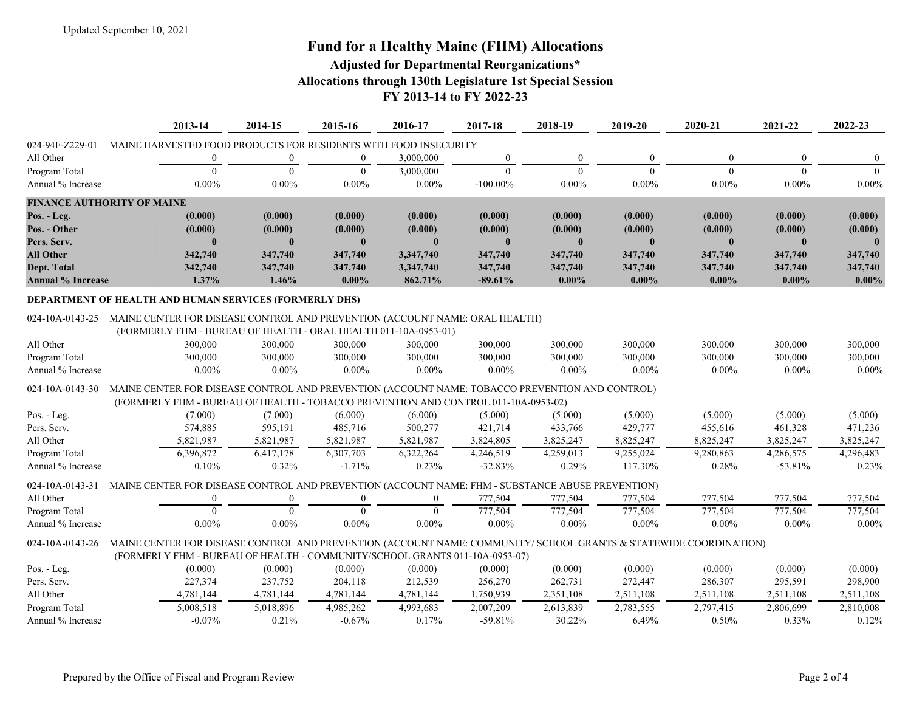## **Fund for a Healthy Maine (FHM) Allocations**

### **Adjusted for Departmental Reorganizations\* Allocations through 130th Legislature 1st Special Session FY 2013-14 to FY 2022-23**

|                                   | 2013-14                                                          | 2014-15  | 2015-16  | 2016-17   | 2017-18     | 2018-19  | 2019-20      | 2020-21  | 2021-22  | 2022-23      |
|-----------------------------------|------------------------------------------------------------------|----------|----------|-----------|-------------|----------|--------------|----------|----------|--------------|
| 024-94F-Z229-01                   | MAINE HARVESTED FOOD PRODUCTS FOR RESIDENTS WITH FOOD INSECURITY |          |          |           |             |          |              |          |          |              |
| All Other                         |                                                                  |          |          | 3,000,000 |             | $\Omega$ | $\Omega$     |          | $\Omega$ | $\Omega$     |
| Program Total                     |                                                                  |          |          | 3,000,000 |             |          |              |          |          |              |
| Annual % Increase                 | $0.00\%$                                                         | $0.00\%$ | $0.00\%$ | $0.00\%$  | $-100.00\%$ | $0.00\%$ | $0.00\%$     | $0.00\%$ | $0.00\%$ | $0.00\%$     |
| <b>FINANCE AUTHORITY OF MAINE</b> |                                                                  |          |          |           |             |          |              |          |          |              |
| Pos. - Leg.                       | (0.000)                                                          | (0.000)  | (0.000)  | (0.000)   | (0.000)     | (0.000)  | (0.000)      | (0.000)  | (0.000)  | (0.000)      |
| Pos. - Other                      | (0.000)                                                          | (0.000)  | (0.000)  | (0.000)   | (0.000)     | (0.000)  | (0.000)      | (0.000)  | (0.000)  | (0.000)      |
| Pers. Serv.                       | $\mathbf{0}$                                                     |          |          |           |             |          | $\mathbf{0}$ |          |          | $\mathbf{0}$ |
| <b>All Other</b>                  | 342,740                                                          | 347,740  | 347,740  | 3.347.740 | 347,740     | 347,740  | 347,740      | 347,740  | 347,740  | 347,740      |
| Dept. Total                       | 342,740                                                          | 347,740  | 347,740  | 3,347,740 | 347,740     | 347,740  | 347,740      | 347,740  | 347,740  | 347,740      |
| <b>Annual % Increase</b>          | $1.37\%$                                                         | $1.46\%$ | $0.00\%$ | 862.71%   | $-89.61\%$  | $0.00\%$ | $0.00\%$     | $0.00\%$ | $0.00\%$ | $0.00\%$     |

#### **DEPARTMENT OF HEALTH AND HUMAN SERVICES (FORMERLY DHS)**

#### 024-10A-0143-25 MAINE CENTER FOR DISEASE CONTROL AND PREVENTION (ACCOUNT NAME: ORAL HEALTH)

(FORMERLY FHM - BUREAU OF HEALTH - ORAL HEALTH 011-10A-0953-01)

| All Other               | 300,000                                                                                                          | 300,000   | 300,000   | 300,000   | 300,000    | 300,000   | 300,000   | 300,000   | 300,000   | 300,000   |
|-------------------------|------------------------------------------------------------------------------------------------------------------|-----------|-----------|-----------|------------|-----------|-----------|-----------|-----------|-----------|
| Program Total           | 300,000                                                                                                          | 300,000   | 300,000   | 300,000   | 300,000    | 300,000   | 300,000   | 300,000   | 300,000   | 300,000   |
| Annual % Increase       | $0.00\%$                                                                                                         | $0.00\%$  | $0.00\%$  | $0.00\%$  | $0.00\%$   | $0.00\%$  | $0.00\%$  | $0.00\%$  | $0.00\%$  | $0.00\%$  |
| $024 - 10A - 0143 - 30$ | MAINE CENTER FOR DISEASE CONTROL AND PREVENTION (ACCOUNT NAME: TOBACCO PREVENTION AND CONTROL)                   |           |           |           |            |           |           |           |           |           |
|                         | (FORMERLY FHM - BUREAU OF HEALTH - TOBACCO PREVENTION AND CONTROL 011-10A-0953-02)                               |           |           |           |            |           |           |           |           |           |
| Pos. - Leg.             | (7.000)                                                                                                          | (7.000)   | (6.000)   | (6.000)   | (5.000)    | (5.000)   | (5.000)   | (5.000)   | (5.000)   | (5.000)   |
| Pers. Serv.             | 574,885                                                                                                          | 595,191   | 485,716   | 500,277   | 421,714    | 433,766   | 429,777   | 455,616   | 461,328   | 471,236   |
| All Other               | 5,821,987                                                                                                        | 5,821,987 | 5,821,987 | 5,821,987 | 3,824,805  | 3,825,247 | 8,825,247 | 8,825,247 | 3,825,247 | 3,825,247 |
| Program Total           | 6,396,872                                                                                                        | 6,417,178 | 6,307,703 | 6,322,264 | 4,246,519  | 4,259,013 | 9,255,024 | 9,280,863 | 4,286,575 | 4,296,483 |
| Annual % Increase       | 0.10%                                                                                                            | $0.32\%$  | $-1.71\%$ | $0.23\%$  | $-32.83\%$ | 0.29%     | 117.30%   | 0.28%     | $-53.81%$ | 0.23%     |
| $024 - 10A - 0143 - 31$ | MAINE CENTER FOR DISEASE CONTROL AND PREVENTION (ACCOUNT NAME: FHM - SUBSTANCE ABUSE PREVENTION)                 |           |           |           |            |           |           |           |           |           |
| All Other               | $\overline{0}$                                                                                                   |           | $\left($  | $\Omega$  | 777,504    | 777,504   | 777,504   | 777,504   | 777,504   | 777,504   |
| Program Total           |                                                                                                                  |           |           |           | 777,504    | 777,504   | 777,504   | 777,504   | 777,504   | 777,504   |
| Annual % Increase       | $0.00\%$                                                                                                         | $0.00\%$  | $0.00\%$  | $0.00\%$  | $0.00\%$   | $0.00\%$  | $0.00\%$  | $0.00\%$  | $0.00\%$  | $0.00\%$  |
| 024-10A-0143-26         | MAINE CENTER FOR DISEASE CONTROL AND PREVENTION (ACCOUNT NAME: COMMUNITY/SCHOOL GRANTS & STATEWIDE COORDINATION) |           |           |           |            |           |           |           |           |           |
|                         | (FORMERLY FHM - BUREAU OF HEALTH - COMMUNITY/SCHOOL GRANTS 011-10A-0953-07)                                      |           |           |           |            |           |           |           |           |           |
| Pos. - Leg.             | (0.000)                                                                                                          | (0.000)   | (0.000)   | (0.000)   | (0.000)    | (0.000)   | (0.000)   | (0.000)   | (0.000)   | (0.000)   |
| Pers. Serv.             | 227,374                                                                                                          | 237,752   | 204,118   | 212,539   | 256,270    | 262,731   | 272,447   | 286,307   | 295,591   | 298,900   |
| All Other               | 4,781,144                                                                                                        | 4,781,144 | 4,781,144 | 4,781,144 | 1,750,939  | 2,351,108 | 2,511,108 | 2,511,108 | 2,511,108 | 2,511,108 |
| Program Total           | 5,008,518                                                                                                        | 5,018,896 | 4,985,262 | 4,993,683 | 2,007,209  | 2,613,839 | 2,783,555 | 2,797,415 | 2,806,699 | 2,810,008 |
| Annual % Increase       | $-0.07\%$                                                                                                        | $0.21\%$  | $-0.67\%$ | $0.17\%$  | $-59.81\%$ | 30.22%    | 6.49%     | $0.50\%$  | $0.33\%$  | 0.12%     |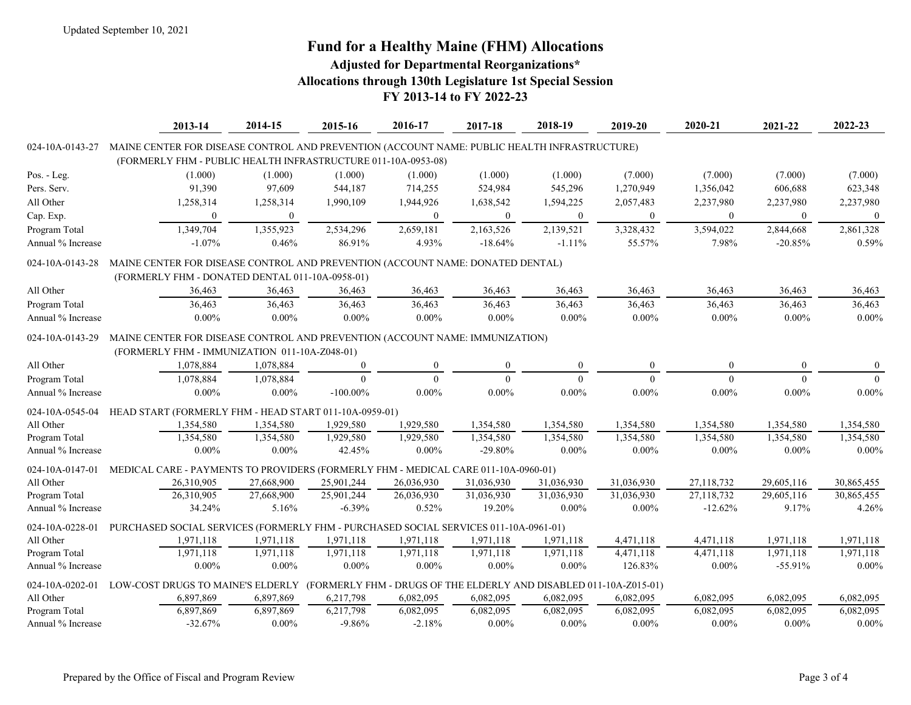# **Fund for a Healthy Maine (FHM) Allocations**

### **Adjusted for Departmental Reorganizations\* Allocations through 130th Legislature 1st Special Session FY 2013-14 to FY 2022-23**

|                   | 2013-14                                                                                      | 2014-15      | 2015-16                                                            | 2016-17      | 2017-18      | 2018-19          | 2019-20          | 2020-21      | 2021-22      | 2022-23    |
|-------------------|----------------------------------------------------------------------------------------------|--------------|--------------------------------------------------------------------|--------------|--------------|------------------|------------------|--------------|--------------|------------|
| 024-10A-0143-27   | MAINE CENTER FOR DISEASE CONTROL AND PREVENTION (ACCOUNT NAME: PUBLIC HEALTH INFRASTRUCTURE) |              |                                                                    |              |              |                  |                  |              |              |            |
|                   | (FORMERLY FHM - PUBLIC HEALTH INFRASTRUCTURE 011-10A-0953-08)                                |              |                                                                    |              |              |                  |                  |              |              |            |
| Pos. - Leg.       | (1.000)                                                                                      | (1.000)      | (1.000)                                                            | (1.000)      | (1.000)      | (1.000)          | (7.000)          | (7.000)      | (7.000)      | (7.000)    |
| Pers. Serv.       | 91,390                                                                                       | 97,609       | 544,187                                                            | 714,255      | 524,984      | 545,296          | 1,270,949        | 1,356,042    | 606,688      | 623,348    |
| All Other         | 1,258,314                                                                                    | 1,258,314    | 1,990,109                                                          | 1,944,926    | 1,638,542    | 1,594,225        | 2,057,483        | 2,237,980    | 2,237,980    | 2,237,980  |
| Cap. Exp.         | $\overline{0}$                                                                               | $\mathbf{0}$ |                                                                    | $\mathbf{0}$ | $\mathbf{0}$ | $\boldsymbol{0}$ | $\boldsymbol{0}$ | $\mathbf{0}$ | $\mathbf{0}$ | $\bf{0}$   |
| Program Total     | 1,349,704                                                                                    | 1,355,923    | 2,534,296                                                          | 2,659,181    | 2,163,526    | 2,139,521        | 3,328,432        | 3,594,022    | 2,844,668    | 2,861,328  |
| Annual % Increase | $-1.07%$                                                                                     | 0.46%        | 86.91%                                                             | 4.93%        | $-18.64%$    | $-1.11%$         | 55.57%           | 7.98%        | $-20.85%$    | 0.59%      |
| 024-10A-0143-28   | MAINE CENTER FOR DISEASE CONTROL AND PREVENTION (ACCOUNT NAME: DONATED DENTAL)               |              |                                                                    |              |              |                  |                  |              |              |            |
|                   | (FORMERLY FHM - DONATED DENTAL 011-10A-0958-01)                                              |              |                                                                    |              |              |                  |                  |              |              |            |
| All Other         | 36,463                                                                                       | 36,463       | 36,463                                                             | 36,463       | 36,463       | 36,463           | 36,463           | 36,463       | 36,463       | 36,463     |
| Program Total     | 36,463                                                                                       | 36,463       | 36,463                                                             | 36,463       | 36,463       | 36,463           | 36,463           | 36,463       | 36,463       | 36,463     |
| Annual % Increase | $0.00\%$                                                                                     | $0.00\%$     | $0.00\%$                                                           | $0.00\%$     | $0.00\%$     | $0.00\%$         | $0.00\%$         | $0.00\%$     | $0.00\%$     | $0.00\%$   |
| 024-10A-0143-29   | MAINE CENTER FOR DISEASE CONTROL AND PREVENTION (ACCOUNT NAME: IMMUNIZATION)                 |              |                                                                    |              |              |                  |                  |              |              |            |
|                   | (FORMERLY FHM - IMMUNIZATION 011-10A-Z048-01)                                                |              |                                                                    |              |              |                  |                  |              |              |            |
| All Other         | 1,078,884                                                                                    | 1,078,884    | $\mathbf{0}$                                                       | $\mathbf{0}$ | $\mathbf{0}$ | $\boldsymbol{0}$ | $\mathbf{0}$     | $\mathbf{0}$ | $\theta$     | $\bf{0}$   |
| Program Total     | 1,078,884                                                                                    | 1,078,884    | $\theta$                                                           | $\Omega$     | $\Omega$     | $\theta$         | $\Omega$         | $\Omega$     | $\theta$     | $\theta$   |
| Annual % Increase | $0.00\%$                                                                                     | $0.00\%$     | $-100.00\%$                                                        | $0.00\%$     | $0.00\%$     | $0.00\%$         | $0.00\%$         | $0.00\%$     | $0.00\%$     | $0.00\%$   |
| 024-10A-0545-04   | HEAD START (FORMERLY FHM - HEAD START 011-10A-0959-01)                                       |              |                                                                    |              |              |                  |                  |              |              |            |
| All Other         | 1,354,580                                                                                    | 1,354,580    | 1,929,580                                                          | 1,929,580    | 1,354,580    | 1,354,580        | 1,354,580        | 1,354,580    | 1,354,580    | 1,354,580  |
| Program Total     | 1,354,580                                                                                    | 1,354,580    | 1,929,580                                                          | 1,929,580    | 1,354,580    | 1,354,580        | 1,354,580        | 1.354.580    | 1,354,580    | 1.354.580  |
| Annual % Increase | $0.00\%$                                                                                     | $0.00\%$     | 42.45%                                                             | $0.00\%$     | $-29.80%$    | $0.00\%$         | $0.00\%$         | $0.00\%$     | $0.00\%$     | $0.00\%$   |
| 024-10A-0147-01   | MEDICAL CARE - PAYMENTS TO PROVIDERS (FORMERLY FHM - MEDICAL CARE 011-10A-0960-01)           |              |                                                                    |              |              |                  |                  |              |              |            |
| All Other         | 26,310,905                                                                                   | 27,668,900   | 25,901,244                                                         | 26,036,930   | 31,036,930   | 31,036,930       | 31,036,930       | 27,118,732   | 29,605,116   | 30,865,455 |
| Program Total     | 26,310,905                                                                                   | 27,668,900   | 25,901,244                                                         | 26,036,930   | 31,036,930   | 31,036,930       | 31,036,930       | 27,118,732   | 29,605,116   | 30,865,455 |
| Annual % Increase | 34.24%                                                                                       | 5.16%        | $-6.39%$                                                           | 0.52%        | 19.20%       | $0.00\%$         | $0.00\%$         | $-12.62%$    | 9.17%        | 4.26%      |
| 024-10A-0228-01   | PURCHASED SOCIAL SERVICES (FORMERLY FHM - PURCHASED SOCIAL SERVICES 011-10A-0961-01)         |              |                                                                    |              |              |                  |                  |              |              |            |
| All Other         | 1,971,118                                                                                    | 1,971,118    | 1,971,118                                                          | 1,971,118    | 1,971,118    | 1,971,118        | 4,471,118        | 4,471,118    | 1,971,118    | 1,971,118  |
| Program Total     | 1,971,118                                                                                    | 1,971,118    | 1,971,118                                                          | 1,971,118    | 1,971,118    | 1,971,118        | 4,471,118        | 4,471,118    | 1,971,118    | 1,971,118  |
| Annual % Increase | $0.00\%$                                                                                     | $0.00\%$     | $0.00\%$                                                           | $0.00\%$     | $0.00\%$     | $0.00\%$         | 126.83%          | $0.00\%$     | $-55.91%$    | $0.00\%$   |
| 024-10A-0202-01   | LOW-COST DRUGS TO MAINE'S ELDERLY                                                            |              | (FORMERLY FHM - DRUGS OF THE ELDERLY AND DISABLED 011-10A-Z015-01) |              |              |                  |                  |              |              |            |
| All Other         | 6,897,869                                                                                    | 6,897,869    | 6,217,798                                                          | 6,082,095    | 6,082,095    | 6,082,095        | 6,082,095        | 6,082,095    | 6,082,095    | 6,082,095  |
| Program Total     | 6,897,869                                                                                    | 6,897,869    | 6,217,798                                                          | 6,082,095    | 6,082,095    | 6,082,095        | 6,082,095        | 6,082,095    | 6,082,095    | 6,082,095  |
| Annual % Increase | $-32.67%$                                                                                    | $0.00\%$     | $-9.86%$                                                           | $-2.18%$     | $0.00\%$     | $0.00\%$         | $0.00\%$         | $0.00\%$     | $0.00\%$     | $0.00\%$   |